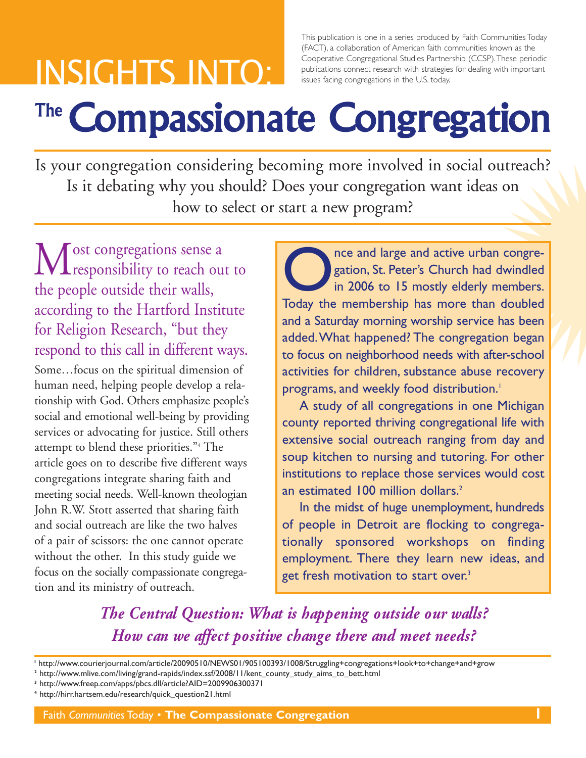# INSIGHTS INTO:

This publication is one in a series produced by Faith Communities Today (FACT), a collaboration of American faith communities known as the Cooperative Congregational Studies Partnership (CCSP).These periodic publications connect research with strategies for dealing with important issues facing congregations in the U.S. today.

# The **Compassionate Congregation**

Is your congregation considering becoming more involved in social outreach? Is it debating why you should? Does your congregation want ideas on how to select or start a new program?

Most congregations sense a<br>responsibility to reach out to the people outside their walls, according to the Hartford Institute for Religion Research, "but they respond to this call in different ways. Some…focus on the spiritual dimension of human need, helping people develop a relationship with God. Others emphasize people's social and emotional well-being by providing services or advocating for justice. Still others attempt to blend these priorities."4 The article goes on to describe five different ways congregations integrate sharing faith and meeting social needs. Well-known theologian John R.W. Stott asserted that sharing faith and social outreach are like the two halves of a pair of scissors: the one cannot operate without the other. In this study guide we focus on the socially compassionate congregation and its ministry of outreach.

Today the membership has more than doubled<br>Today the membership has more than doubled gation, St. Peter's Church had dwindled in 2006 to 15 mostly elderly members. Today the membership has more than doubled and a Saturday morning worship service has been added.What happened? The congregation began to focus on neighborhood needs with after-school activities for children, substance abuse recovery programs, and weekly food distribution. 1

A study of all congregations in one Michigan county reported thriving congregational life with extensive social outreach ranging from day and soup kitchen to nursing and tutoring. For other institutions to replace those services would cost an estimated 100 million dollars. 2

In the midst of huge unemployment, hundreds of people in Detroit are flocking to congregationally sponsored workshops on finding employment. There they learn new ideas, and get fresh motivation to start over. 3

*The Central Question: What is happening outside our walls? How can we affect positive change there and meet needs?*

- **<sup>2</sup>** http://www.mlive.com/living/grand-rapids/index.ssf/2008/11/kent\_county\_study\_aims\_to\_bett.html
- **<sup>3</sup>** http://www.freep.com/apps/pbcs.dll/article?AID=2009906300371
- **<sup>4</sup>** http://hirr.hartsem.edu/research/quick\_question21.html

**<sup>I</sup>** http://www.courierjournal.com/article/20090510/NEWS01/905100393/1008/Struggling+congregations+look+to+change+and+grow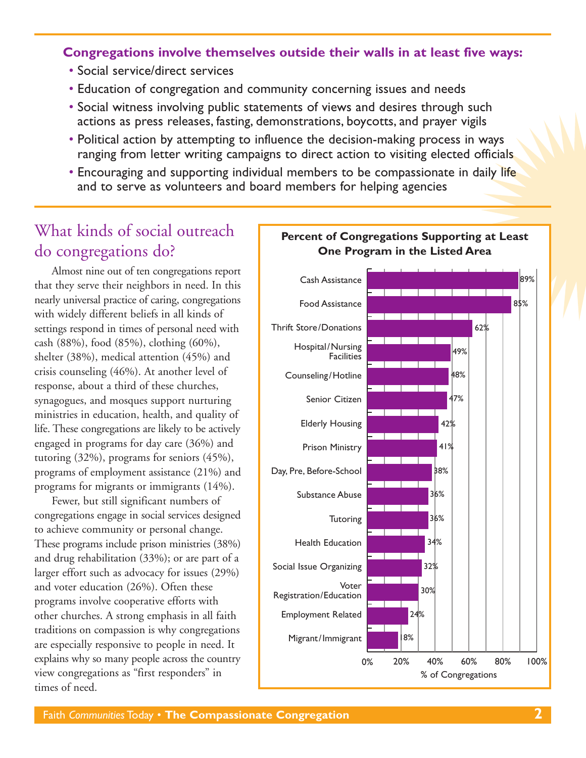#### **Congregations involve themselves outside their walls in at least five ways:**

- Social service/direct services
- Education of congregation and community concerning issues and needs
- Social witness involving public statements of views and desires through such actions as press releases, fasting, demonstrations, boycotts, and prayer vigils
- Political action by attempting to influence the decision-making process in ways ranging from letter writing campaigns to direct action to visiting elected officials
- Encouraging and supporting individual members to be compassionate in daily life and to serve as volunteers and board members for helping agencies

## What kinds of social outreach do congregations do?

Almost nine out of ten congregations report that they serve their neighbors in need. In this nearly universal practice of caring, congregations with widely different beliefs in all kinds of settings respond in times of personal need with cash (88%), food (85%), clothing (60%), shelter (38%), medical attention (45%) and crisis counseling (46%). At another level of response, about a third of these churches, synagogues, and mosques support nurturing ministries in education, health, and quality of life. These congregations are likely to be actively engaged in programs for day care (36%) and tutoring (32%), programs for seniors (45%), programs of employment assistance (21%) and programs for migrants or immigrants (14%).

Fewer, but still significant numbers of congregations engage in social services designed to achieve community or personal change. These programs include prison ministries (38%) and drug rehabilitation (33%); or are part of a larger effort such as advocacy for issues (29%) and voter education (26%). Often these programs involve cooperative efforts with other churches. A strong emphasis in all faith traditions on compassion is why congregations are especially responsive to people in need. It explains why so many people across the country view congregations as "first responders" in times of need.

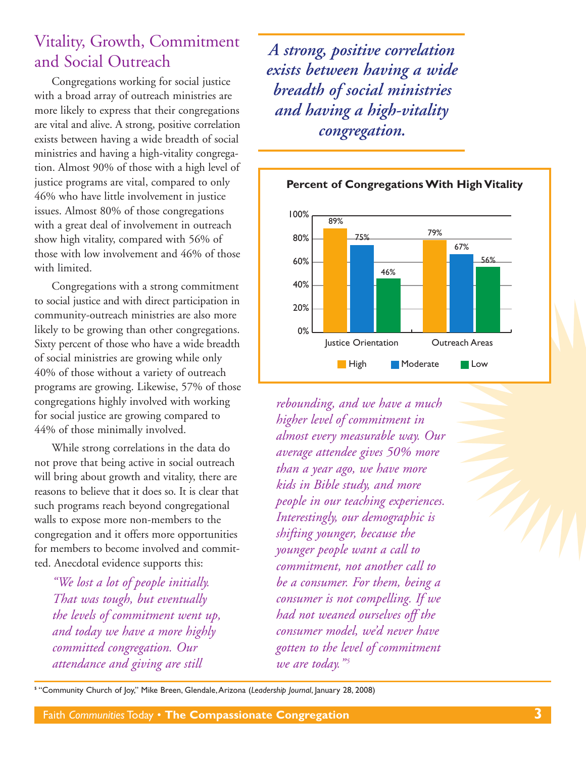## Vitality, Growth, Commitment and Social Outreach

Congregations working for social justice with a broad array of outreach ministries are more likely to express that their congregations are vital and alive. A strong, positive correlation exists between having a wide breadth of social ministries and having a high-vitality congregation. Almost 90% of those with a high level of justice programs are vital, compared to only 46% who have little involvement in justice issues. Almost 80% of those congregations with a great deal of involvement in outreach show high vitality, compared with 56% of those with low involvement and 46% of those with limited.

Congregations with a strong commitment to social justice and with direct participation in community-outreach ministries are also more likely to be growing than other congregations. Sixty percent of those who have a wide breadth of social ministries are growing while only 40% of those without a variety of outreach programs are growing. Likewise, 57% of those congregations highly involved with working for social justice are growing compared to 44% of those minimally involved.

While strong correlations in the data do not prove that being active in social outreach will bring about growth and vitality, there are reasons to believe that it does so. It is clear that such programs reach beyond congregational walls to expose more non-members to the congregation and it offers more opportunities for members to become involved and committed. Anecdotal evidence supports this:

*"We lost a lot of people initially. That was tough, but eventually the levels of commitment went up, and today we have a more highly committed congregation. Our attendance and giving are still*

*A strong, positive correlation exists between having a wide breadth of social ministries and having a high-vitality congregation.*



*rebounding, and we have a much higher level of commitment in almost every measurable way. Our average attendee gives 50% more than a year ago, we have more kids in Bible study, and more people in our teaching experiences. Interestingly, our demographic is shifting younger, because the younger people want a call to commitment, not another call to be a consumer. For them, being a consumer is not compelling. If we had not weaned ourselves off the consumer model, we'd never have gotten to the level of commitment we are today." <sup>5</sup>*

**<sup>5</sup>** "Community Church of Joy," Mike Breen, Glendale,Arizona (*Leadership Journal*, January 28, 2008)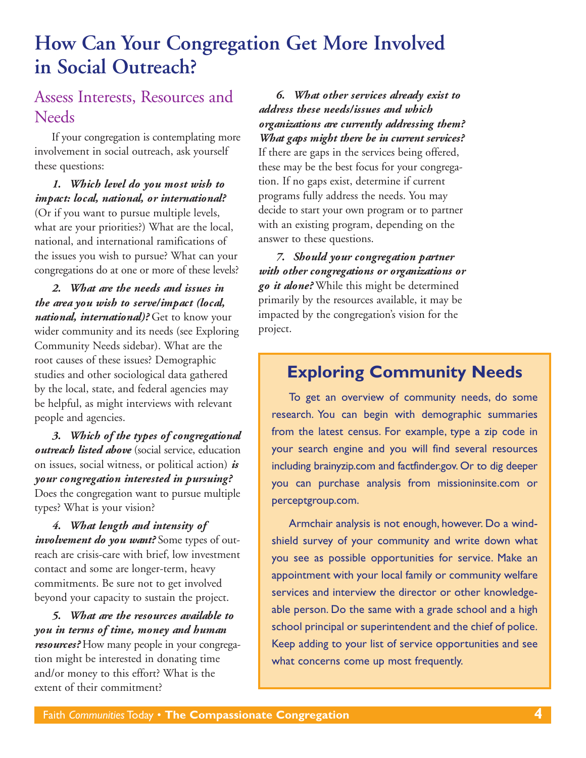## **How Can Your Congregation Get More Involved in Social Outreach?**

### Assess Interests, Resources and **Needs**

If your congregation is contemplating more involvement in social outreach, ask yourself these questions:

#### *1. Which level do you most wish to impact: local, national, or international?*

(Or if you want to pursue multiple levels, what are your priorities?) What are the local, national, and international ramifications of the issues you wish to pursue? What can your congregations do at one or more of these levels?

*2. What are the needs and issues in the area you wish to serve/impact (local, national, international)?* Get to know your wider community and its needs (see Exploring Community Needs sidebar). What are the root causes of these issues? Demographic studies and other sociological data gathered by the local, state, and federal agencies may be helpful, as might interviews with relevant people and agencies.

*3. Which of the types of congregational outreach listed above* (social service, education on issues, social witness, or political action) *is your congregation interested in pursuing?* Does the congregation want to pursue multiple types? What is your vision?

*4. What length and intensity of involvement do you want?* Some types of outreach are crisis-care with brief, low investment contact and some are longer-term, heavy commitments. Be sure not to get involved beyond your capacity to sustain the project.

*5. What are the resources available to you in terms of time, money and human resources?* How many people in your congregation might be interested in donating time and/or money to this effort? What is the extent of their commitment?

*6. What other services already exist to address these needs/issues and which organizations are currently addressing them? What gaps might there be in current services?* If there are gaps in the services being offered, these may be the best focus for your congregation. If no gaps exist, determine if current programs fully address the needs. You may decide to start your own program or to partner with an existing program, depending on the answer to these questions.

*7. Should your congregation partner with other congregations or organizations or go it alone?* While this might be determined primarily by the resources available, it may be impacted by the congregation's vision for the project.

## **Exploring Community Needs**

To get an overview of community needs, do some research. You can begin with demographic summaries from the latest census. For example, type a zip code in your search engine and you will find several resources including brainyzip.com and factfinder.gov. Or to dig deeper you can purchase analysis from missioninsite.com or perceptgroup.com.

Armchair analysis is not enough, however. Do a windshield survey of your community and write down what you see as possible opportunities for service. Make an appointment with your local family or community welfare services and interview the director or other knowledgeable person. Do the same with a grade school and a high school principal or superintendent and the chief of police. Keep adding to your list of service opportunities and see what concerns come up most frequently.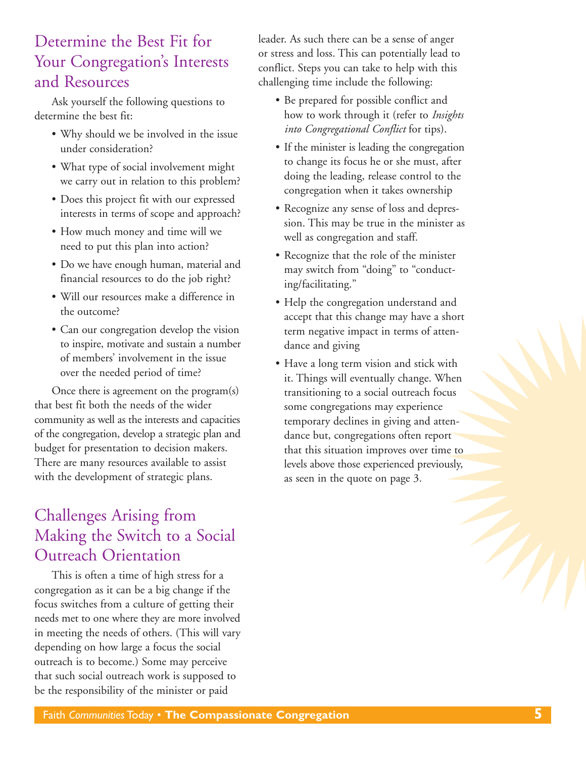## Determine the Best Fit for Your Congregation's Interests and Resources

Ask yourself the following questions to determine the best fit:

- Why should we be involved in the issue under consideration?
- What type of social involvement might we carry out in relation to this problem?
- Does this project fit with our expressed interests in terms of scope and approach?
- How much money and time will we need to put this plan into action?
- Do we have enough human, material and financial resources to do the job right?
- Will our resources make a difference in the outcome?
- Can our congregation develop the vision to inspire, motivate and sustain a number of members' involvement in the issue over the needed period of time?

Once there is agreement on the program(s) that best fit both the needs of the wider community as well as the interests and capacities of the congregation, develop a strategic plan and budget for presentation to decision makers. There are many resources available to assist with the development of strategic plans.

## Challenges Arising from Making the Switch to a Social Outreach Orientation

This is often a time of high stress for a congregation as it can be a big change if the focus switches from a culture of getting their needs met to one where they are more involved in meeting the needs of others. (This will vary depending on how large a focus the social outreach is to become.) Some may perceive that such social outreach work is supposed to be the responsibility of the minister or paid

leader. As such there can be a sense of anger or stress and loss. This can potentially lead to conflict. Steps you can take to help with this challenging time include the following:

- Be prepared for possible conflict and how to work through it (refer to *Insights into Congregational Conflict* for tips).
- If the minister is leading the congregation to change its focus he or she must, after doing the leading, release control to the congregation when it takes ownership
- Recognize any sense of loss and depression. This may be true in the minister as well as congregation and staff.
- Recognize that the role of the minister may switch from "doing" to "conducting/facilitating."
- Help the congregation understand and accept that this change may have a short term negative impact in terms of attendance and giving
- Have a long term vision and stick with it. Things will eventually change. When transitioning to a social outreach focus some congregations may experience temporary declines in giving and attendance but, congregations often report that this situation improves over time to levels above those experienced previously, as seen in the quote on page 3.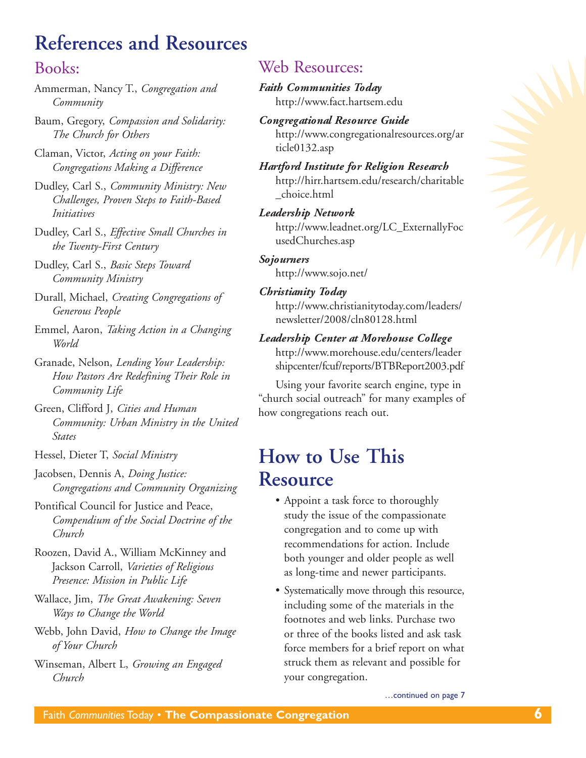# **References and Resources**

#### Books:

Ammerman, Nancy T., *Congregation and Community*

Baum, Gregory, *Compassion and Solidarity: The Church for Others*

Claman, Victor, *Acting on your Faith: Congregations Making a Difference*

Dudley, Carl S., *Community Ministry: New Challenges, Proven Steps to Faith-Based Initiatives*

Dudley, Carl S., *Effective Small Churches in the Twenty-First Century*

Dudley, Carl S., *Basic Steps Toward Community Ministry*

Durall, Michael, *Creating Congregations of Generous People*

Emmel, Aaron, *Taking Action in a Changing World*

Granade, Nelson, *Lending Your Leadership: How Pastors Are Redefining Their Role in Community Life*

Green, Clifford J, *Cities and Human Community: Urban Ministry in the United States*

Hessel, Dieter T, *Social Ministry*

Jacobsen, Dennis A, *Doing Justice: Congregations and Community Organizing*

Pontifical Council for Justice and Peace, *Compendium of the Social Doctrine of the Church*

Roozen, David A., William McKinney and Jackson Carroll, *Varieties of Religious Presence: Mission in Public Life*

Wallace, Jim, *The Great Awakening: Seven Ways to Change the World*

Webb, John David, *How to Change the Image of Your Church*

Winseman, Albert L, *Growing an Engaged Church*

### Web Resources:

*Faith Communities Today* http://www.fact.hartsem.edu

*Congregational Resource Guide* [http://www.congregationalresources.org/ar](http://www.congregationalresources.org/article0132.asp) ticle0132.asp

*Hartford Institute for Religion Research* [http://hirr.hartsem.edu/research/charitable](http://hirr.hartsem.edu/research/charitable_choice.html) \_choice.html

#### *Leadership Network*

[http://www.leadnet.org/LC\\_ExternallyFoc](http://www.leadnet.org/lc_externallyfocusedchurches.asp) usedChurches.asp

#### *Sojourners*

http://www.sojo.net/

#### *Christianity Today*

[http://www.christianitytoday.com/leaders/](http://www.christianitytoday.com/leaders/newsletter/2008/cln80128.html) newsletter/2008/cln80128.html

*Leadership Center at Morehouse College*

[http://www.morehouse.edu/centers/leader](http://www.morehouse.edu/centers/leadershipcenter/fcuf/reports/btbreport2003.pdf) shipcenter/fcuf/reports/BTBReport2003.pdf

Using your favorite search engine, type in "church social outreach" for many examples of how congregations reach out.

## **How to Use This Resource**

- Appoint a task force to thoroughly study the issue of the compassionate congregation and to come up with recommendations for action. Include both younger and older people as well as long-time and newer participants.
- Systematically move through this resource, including some of the materials in the footnotes and web links. Purchase two or three of the books listed and ask task force members for a brief report on what struck them as relevant and possible for your congregation.